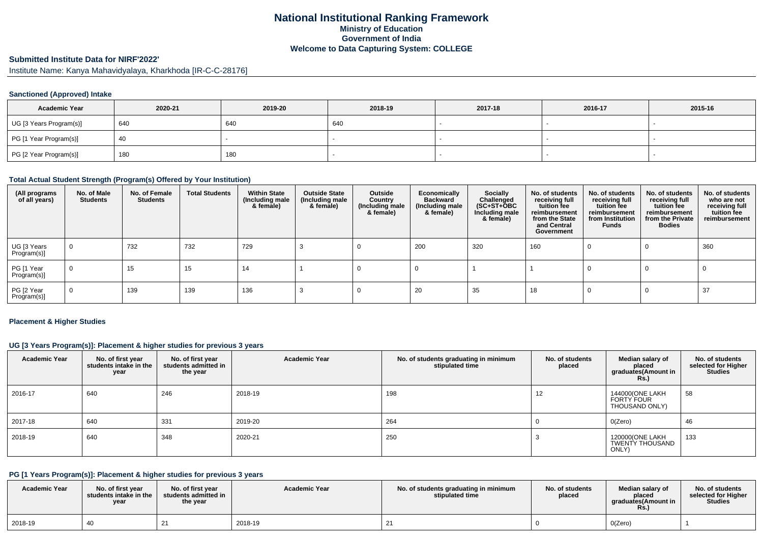# **National Institutional Ranking FrameworkMinistry of Education Government of IndiaWelcome to Data Capturing System: COLLEGE**

# **Submitted Institute Data for NIRF'2022'**

Institute Name: Kanya Mahavidyalaya, Kharkhoda [IR-C-C-28176]

#### **Sanctioned (Approved) Intake**

| <b>Academic Year</b>    | 2020-21 | 2019-20 | 2018-19 | 2017-18 | 2016-17 | 2015-16 |
|-------------------------|---------|---------|---------|---------|---------|---------|
| UG [3 Years Program(s)] | 640     | 640     | 640     |         |         |         |
| PG [1 Year Program(s)]  | 40      |         |         |         |         |         |
| PG [2 Year Program(s)]  | 180     | 180     |         |         |         |         |

#### **Total Actual Student Strength (Program(s) Offered by Your Institution)**

| (All programs<br>of all years) | No. of Male<br><b>Students</b> | No. of Female<br><b>Students</b> | <b>Total Students</b> | <b>Within State</b><br>(Including male<br>& female) | <b>Outside State</b><br>(Including male<br>& female) | Outside<br>Country<br>(Including male<br>& female) | Economically<br><b>Backward</b><br>(Including male<br>& female) | <b>Socially</b><br>Challenged<br>$(SC+ST+\overline{O}BC)$<br>Including male<br>& female) | No. of students<br>receiving full<br>tuition fee<br>reimbursement<br>from the State<br>and Central<br>Government | No. of students<br>receiving full<br>tuition fee<br>reimbursement<br>from Institution<br><b>Funds</b> | No. of students<br>receiving full<br>tuition fee<br>reimbursement<br>from the Private<br><b>Bodies</b> | No. of students<br>who are not<br>receiving full<br>tuition fee<br>reimbursement |
|--------------------------------|--------------------------------|----------------------------------|-----------------------|-----------------------------------------------------|------------------------------------------------------|----------------------------------------------------|-----------------------------------------------------------------|------------------------------------------------------------------------------------------|------------------------------------------------------------------------------------------------------------------|-------------------------------------------------------------------------------------------------------|--------------------------------------------------------------------------------------------------------|----------------------------------------------------------------------------------|
| UG [3 Years<br>Program(s)]     | 0                              | 732                              | 732                   | 729                                                 |                                                      |                                                    | 200                                                             | 320                                                                                      | 160                                                                                                              |                                                                                                       | 0                                                                                                      | 360                                                                              |
| PG [1 Year<br>Program(s)]      | 0                              | 15                               | 15                    | 14                                                  |                                                      |                                                    |                                                                 |                                                                                          |                                                                                                                  |                                                                                                       |                                                                                                        |                                                                                  |
| PG [2 Year<br>Program(s)]      | 0                              | 139                              | 139                   | 136                                                 |                                                      |                                                    | 20                                                              | 35                                                                                       | 18                                                                                                               |                                                                                                       |                                                                                                        | 37                                                                               |

#### **Placement & Higher Studies**

# **UG [3 Years Program(s)]: Placement & higher studies for previous 3 years**

| <b>Academic Year</b> | No. of first year<br>students intake in the<br>year | No. of first year<br>students admitted in<br>the year | <b>Academic Year</b> | No. of students graduating in minimum<br>stipulated time | No. of students<br>placed | Median salary of<br>placed<br>graduates(Amount in<br><b>Rs.)</b> | No. of students<br>selected for Higher<br><b>Studies</b> |
|----------------------|-----------------------------------------------------|-------------------------------------------------------|----------------------|----------------------------------------------------------|---------------------------|------------------------------------------------------------------|----------------------------------------------------------|
| 2016-17              | 640                                                 | 246                                                   | 2018-19              | 198                                                      | 12                        | 144000(ONE LAKH<br>FORTY FOUR<br>THOUSAND ONLY)                  | 58                                                       |
| 2017-18              | 640                                                 | 331                                                   | 2019-20              | 264                                                      |                           | O(Zero)                                                          | 46                                                       |
| 2018-19              | 640                                                 | 348                                                   | 2020-21              | 250                                                      |                           | 120000(ONE LAKH<br>TWENTY THOUSAND<br>ONLY)                      | 133                                                      |

#### **PG [1 Years Program(s)]: Placement & higher studies for previous 3 years**

| <b>Academic Year</b> | No. of first vear<br>students intake in the<br>year | No. of first year<br>students admitted in<br>the year | <b>Academic Year</b> | No. of students graduating in minimum<br>stipulated time | No. of students<br>placed | Median salary of<br>placed<br>araduates(Amount in<br><b>Rs.</b> ) | No. of students<br>selected for Higher<br><b>Studies</b> |
|----------------------|-----------------------------------------------------|-------------------------------------------------------|----------------------|----------------------------------------------------------|---------------------------|-------------------------------------------------------------------|----------------------------------------------------------|
| 2018-19              | 40                                                  |                                                       | 2018-19              |                                                          |                           | O(Zero)                                                           |                                                          |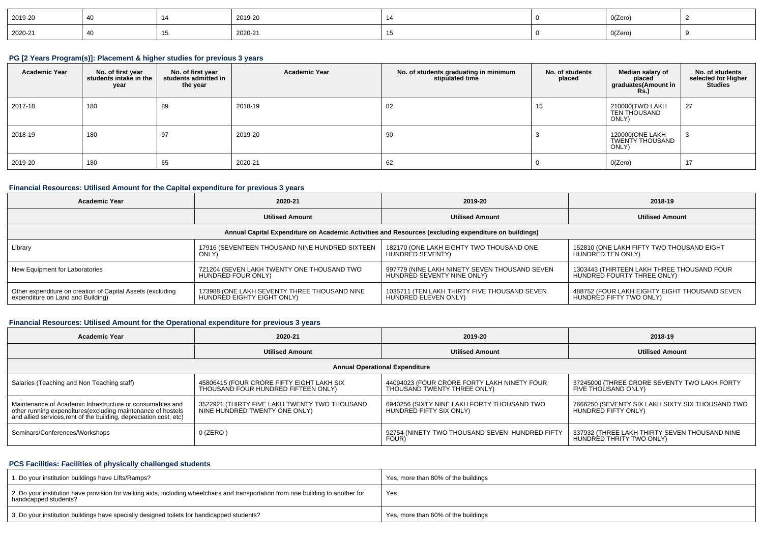| 2019-20                                        |  | 2019-20 |  | O(Zero)                  |  |
|------------------------------------------------|--|---------|--|--------------------------|--|
| 2020-21<br>the contract of the contract of the |  | 2020-21 |  | O(Zero)<br>$\sim$ $\sim$ |  |

#### **PG [2 Years Program(s)]: Placement & higher studies for previous 3 years**

| <b>Academic Year</b> | No. of first year<br>students intake in the<br>year | No. of first year<br>students admitted in<br>the year | <b>Academic Year</b> | No. of students graduating in minimum<br>stipulated time | No. of students<br>placed | Median salary of<br>placed<br>graduates(Amount in<br><b>Rs.)</b> | No. of students<br>selected for Higher<br><b>Studies</b> |
|----------------------|-----------------------------------------------------|-------------------------------------------------------|----------------------|----------------------------------------------------------|---------------------------|------------------------------------------------------------------|----------------------------------------------------------|
| 2017-18              | 180                                                 | 89                                                    | 2018-19              | 82                                                       | 15                        | 210000(TWO LAKH<br>TEN THOUSAND<br>ONLY)                         | 27                                                       |
| 2018-19              | 180                                                 | 97                                                    | 2019-20              | 90                                                       |                           | 120000(ONE LAKH<br>TWENTY THOUSAND<br>ONLY)                      |                                                          |
| 2019-20              | 180                                                 | 65                                                    | 2020-21              | 62                                                       |                           | O(Zero)                                                          | 17<br>$\mathbf{1}$                                       |

# **Financial Resources: Utilised Amount for the Capital expenditure for previous 3 years**

| Academic Year                                                                                        | 2020-21                                        | 2019-20                                       | 2018-19                                       |  |  |  |  |  |  |
|------------------------------------------------------------------------------------------------------|------------------------------------------------|-----------------------------------------------|-----------------------------------------------|--|--|--|--|--|--|
| <b>Utilised Amount</b>                                                                               |                                                | <b>Utilised Amount</b>                        | <b>Utilised Amount</b>                        |  |  |  |  |  |  |
| Annual Capital Expenditure on Academic Activities and Resources (excluding expenditure on buildings) |                                                |                                               |                                               |  |  |  |  |  |  |
| Library                                                                                              | 17916 (SEVENTEEN THOUSAND NINE HUNDRED SIXTEEN | 182170 (ONE LAKH EIGHTY TWO THOUSAND ONE      | 152810 (ONE LAKH FIFTY TWO THOUSAND EIGHT     |  |  |  |  |  |  |
|                                                                                                      | ONLY)                                          | HUNDRED SEVENTY)                              | HUNDRED TEN ONLY)                             |  |  |  |  |  |  |
| New Equipment for Laboratories                                                                       | 721204 (SEVEN LAKH TWENTY ONE THOUSAND TWO     | 997779 (NINE LAKH NINETY SEVEN THOUSAND SEVEN | 1303443 (THIRTEEN LAKH THREE THOUSAND FOUR    |  |  |  |  |  |  |
|                                                                                                      | HUNDRED FOUR ONLY)                             | HUNDRED SEVENTY NINE ONLY)                    | HUNDRED FOURTY THREE ONLY)                    |  |  |  |  |  |  |
| Other expenditure on creation of Capital Assets (excluding                                           | 173988 (ONE LAKH SEVENTY THREE THOUSAND NINE   | 1035711 (TEN LAKH THIRTY FIVE THOUSAND SEVEN  | 488752 (FOUR LAKH EIGHTY EIGHT THOUSAND SEVEN |  |  |  |  |  |  |
| expenditure on Land and Building)                                                                    | HUNDRED EIGHTY EIGHT ONLY)                     | HUNDRED ELEVEN ONLY)                          | HUNDRED FIFTY TWO ONLY)                       |  |  |  |  |  |  |

# **Financial Resources: Utilised Amount for the Operational expenditure for previous 3 years**

| 2020-21<br><b>Academic Year</b>                                                                                                                                                                 |                                                                                  | 2019-20                                                                    | 2018-19                                                                   |  |  |  |  |  |  |
|-------------------------------------------------------------------------------------------------------------------------------------------------------------------------------------------------|----------------------------------------------------------------------------------|----------------------------------------------------------------------------|---------------------------------------------------------------------------|--|--|--|--|--|--|
|                                                                                                                                                                                                 | <b>Utilised Amount</b>                                                           |                                                                            | <b>Utilised Amount</b>                                                    |  |  |  |  |  |  |
| <b>Annual Operational Expenditure</b>                                                                                                                                                           |                                                                                  |                                                                            |                                                                           |  |  |  |  |  |  |
| Salaries (Teaching and Non Teaching staff)                                                                                                                                                      | 45806415 (FOUR CRORE FIFTY EIGHT LAKH SIX<br>THOUSAND FOUR HUNDRED FIFTEEN ONLY) | 44094023 (FOUR CRORE FORTY LAKH NINETY FOUR<br>THOUSAND TWENTY THREE ONLY) | 37245000 (THREE CRORE SEVENTY TWO LAKH FORTY<br>FIVE THOÙSAND ONLY)       |  |  |  |  |  |  |
| Maintenance of Academic Infrastructure or consumables and<br>other running expenditures (excluding maintenance of hostels<br>and allied services, rent of the building, depreciation cost, etc) | 3522921 (THIRTY FIVE LAKH TWENTY TWO THOUSAND<br>NINE HUNDRED TWENTY ONE ONLY)   | 6940256 (SIXTY NINE LAKH FORTY THOUSAND TWO<br>HUNDRED FIFTY SIX ONLY)     | 7666250 (SEVENTY SIX LAKH SIXTY SIX THOUSAND TWO<br>HUNDRED FIFTY ONLY)   |  |  |  |  |  |  |
| Seminars/Conferences/Workshops                                                                                                                                                                  | $0$ (ZERO)                                                                       | 92754 (NINETY TWO THOUSAND SEVEN HUNDRED FIFTY<br>FOUR)                    | 337932 (THREE LAKH THIRTY SEVEN THOUSAND NINE<br>HUNDRED THRITY TWO ONLY) |  |  |  |  |  |  |

# **PCS Facilities: Facilities of physically challenged students**

| 1. Do your institution buildings have Lifts/Ramps?                                                                                                         | Yes, more than 80% of the buildings |
|------------------------------------------------------------------------------------------------------------------------------------------------------------|-------------------------------------|
| 2. Do your institution have provision for walking aids, including wheelchairs and transportation from one building to another for<br>handicapped students? | Yes                                 |
| 3. Do your institution buildings have specially designed toilets for handicapped students?                                                                 | Yes, more than 60% of the buildings |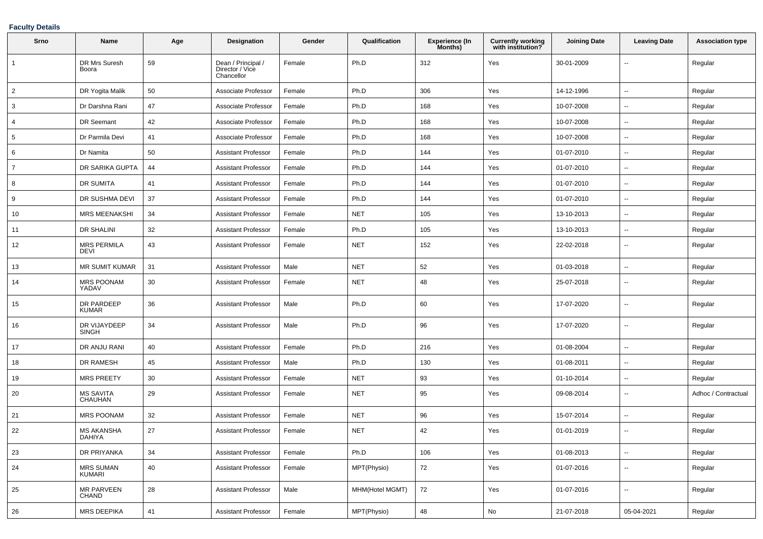#### **Faculty Details**

| Srno           | Name                              | Age | <b>Designation</b>                                  | Gender | Qualification   | <b>Experience (In</b><br>Months) | <b>Currently working</b><br>with institution? | <b>Joining Date</b> | <b>Leaving Date</b>      | <b>Association type</b> |
|----------------|-----------------------------------|-----|-----------------------------------------------------|--------|-----------------|----------------------------------|-----------------------------------------------|---------------------|--------------------------|-------------------------|
| 1              | DR Mrs Suresh<br>Boora            | 59  | Dean / Principal /<br>Director / Vice<br>Chancellor | Female | Ph.D            | 312                              | Yes                                           | 30-01-2009          | $\overline{\phantom{a}}$ | Regular                 |
| $\overline{2}$ | DR Yogita Malik                   | 50  | Associate Professor                                 | Female | Ph.D            | 306                              | Yes                                           | 14-12-1996          | $\ddotsc$                | Regular                 |
| 3              | Dr Darshna Rani                   | 47  | Associate Professor                                 | Female | Ph.D            | 168                              | Yes                                           | 10-07-2008          | $\overline{\phantom{a}}$ | Regular                 |
| 4              | DR Seemant                        | 42  | Associate Professor                                 | Female | Ph.D            | 168                              | Yes                                           | 10-07-2008          | $\overline{\phantom{a}}$ | Regular                 |
| 5              | Dr Parmila Devi                   | 41  | Associate Professor                                 | Female | Ph.D            | 168                              | Yes                                           | 10-07-2008          | $\overline{\phantom{a}}$ | Regular                 |
| 6              | Dr Namita                         | 50  | <b>Assistant Professor</b>                          | Female | Ph.D            | 144                              | Yes                                           | 01-07-2010          | $\overline{\phantom{a}}$ | Regular                 |
| $\overline{7}$ | DR SARIKA GUPTA                   | 44  | <b>Assistant Professor</b>                          | Female | Ph.D            | 144                              | Yes                                           | 01-07-2010          | $\overline{\phantom{a}}$ | Regular                 |
| 8              | DR SUMITA                         | 41  | Assistant Professor                                 | Female | Ph.D            | 144                              | Yes                                           | 01-07-2010          | $\overline{\phantom{a}}$ | Regular                 |
| 9              | DR SUSHMA DEVI                    | 37  | <b>Assistant Professor</b>                          | Female | Ph.D            | 144                              | Yes                                           | 01-07-2010          | $\overline{\phantom{a}}$ | Regular                 |
| 10             | <b>MRS MEENAKSHI</b>              | 34  | <b>Assistant Professor</b>                          | Female | <b>NET</b>      | 105                              | Yes                                           | 13-10-2013          | $\overline{\phantom{a}}$ | Regular                 |
| 11             | DR SHALINI                        | 32  | Assistant Professor                                 | Female | Ph.D            | 105                              | Yes                                           | 13-10-2013          | $\overline{\phantom{a}}$ | Regular                 |
| 12             | <b>MRS PERMILA</b><br>DEVI        | 43  | <b>Assistant Professor</b>                          | Female | <b>NET</b>      | 152                              | Yes                                           | 22-02-2018          | $\sim$                   | Regular                 |
| 13             | <b>MR SUMIT KUMAR</b>             | 31  | <b>Assistant Professor</b>                          | Male   | <b>NET</b>      | 52                               | Yes                                           | 01-03-2018          | $\sim$                   | Regular                 |
| 14             | <b>MRS POONAM</b><br>YADAV        | 30  | <b>Assistant Professor</b>                          | Female | <b>NET</b>      | 48                               | Yes                                           | 25-07-2018          | $\sim$                   | Regular                 |
| 15             | DR PARDEEP<br><b>KUMAR</b>        | 36  | <b>Assistant Professor</b>                          | Male   | Ph.D            | 60                               | Yes                                           | 17-07-2020          | $\overline{\phantom{a}}$ | Regular                 |
| 16             | DR VIJAYDEEP<br><b>SINGH</b>      | 34  | <b>Assistant Professor</b>                          | Male   | Ph.D            | 96                               | Yes                                           | 17-07-2020          | $\sim$                   | Regular                 |
| 17             | DR ANJU RANI                      | 40  | <b>Assistant Professor</b>                          | Female | Ph.D            | 216                              | Yes                                           | 01-08-2004          | $\overline{\phantom{a}}$ | Regular                 |
| 18             | <b>DR RAMESH</b>                  | 45  | Assistant Professor                                 | Male   | Ph.D            | 130                              | Yes                                           | 01-08-2011          | $\overline{\phantom{a}}$ | Regular                 |
| 19             | <b>MRS PREETY</b>                 | 30  | <b>Assistant Professor</b>                          | Female | <b>NET</b>      | 93                               | Yes                                           | 01-10-2014          | $\overline{\phantom{a}}$ | Regular                 |
| 20             | <b>MS SAVITA</b><br>CHAUHAN       | 29  | Assistant Professor                                 | Female | <b>NET</b>      | 95                               | Yes                                           | 09-08-2014          | $\overline{\phantom{a}}$ | Adhoc / Contractual     |
| 21             | <b>MRS POONAM</b>                 | 32  | <b>Assistant Professor</b>                          | Female | <b>NET</b>      | 96                               | Yes                                           | 15-07-2014          | $\sim$                   | Regular                 |
| 22             | <b>MS AKANSHA</b><br>DAHIYA       | 27  | <b>Assistant Professor</b>                          | Female | <b>NET</b>      | 42                               | Yes                                           | 01-01-2019          | $\overline{\phantom{a}}$ | Regular                 |
| 23             | DR PRIYANKA                       | 34  | <b>Assistant Professor</b>                          | Female | Ph.D            | 106                              | Yes                                           | 01-08-2013          | $\sim$                   | Regular                 |
| 24             | <b>MRS SUMAN</b><br>KUMARI        | 40  | <b>Assistant Professor</b>                          | Female | MPT(Physio)     | 72                               | Yes                                           | 01-07-2016          | $\overline{\phantom{a}}$ | Regular                 |
| 25             | <b>MR PARVEEN</b><br><b>CHAND</b> | 28  | <b>Assistant Professor</b>                          | Male   | MHM(Hotel MGMT) | 72                               | Yes                                           | 01-07-2016          | $\sim$                   | Regular                 |
| 26             | <b>MRS DEEPIKA</b>                | 41  | <b>Assistant Professor</b>                          | Female | MPT(Physio)     | 48                               | ${\sf No}$                                    | 21-07-2018          | 05-04-2021               | Regular                 |